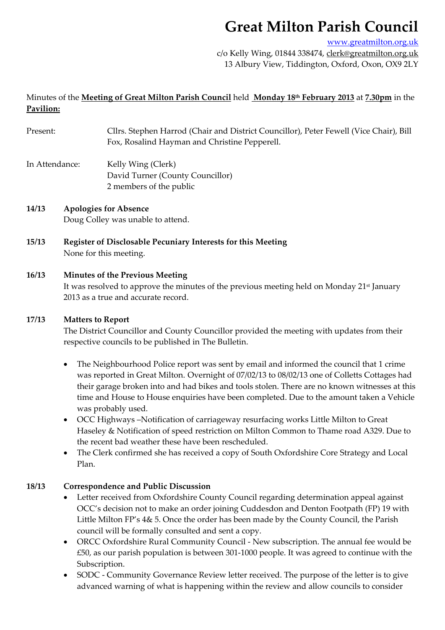# **Great Milton Parish Council**

www.greatmilton.org.uk

c/o Kelly Wing, 01844 338474, clerk@greatmilton.org.uk 13 Albury View, Tiddington, Oxford, Oxon, OX9 2LY

# Minutes of the **Meeting of Great Milton Parish Council** held **Monday 18th February 2013** at **7.30pm** in the **Pavilion:**

- Present: Cllrs. Stephen Harrod (Chair and District Councillor), Peter Fewell (Vice Chair), Bill Fox, Rosalind Hayman and Christine Pepperell.
- In Attendance: Kelly Wing (Clerk) David Turner (County Councillor) 2 members of the public

#### **14/13 Apologies for Absence** Doug Colley was unable to attend.

**15/13 Register of Disclosable Pecuniary Interests for this Meeting** None for this meeting.

## **16/13 Minutes of the Previous Meeting**

It was resolved to approve the minutes of the previous meeting held on Monday 21st January 2013 as a true and accurate record.

## **17/13 Matters to Report**

The District Councillor and County Councillor provided the meeting with updates from their respective councils to be published in The Bulletin.

- The Neighbourhood Police report was sent by email and informed the council that 1 crime was reported in Great Milton. Overnight of 07/02/13 to 08/02/13 one of Colletts Cottages had their garage broken into and had bikes and tools stolen. There are no known witnesses at this time and House to House enquiries have been completed. Due to the amount taken a Vehicle was probably used.
- OCC Highways –Notification of carriageway resurfacing works Little Milton to Great Haseley & Notification of speed restriction on Milton Common to Thame road A329. Due to the recent bad weather these have been rescheduled.
- The Clerk confirmed she has received a copy of South Oxfordshire Core Strategy and Local Plan.

# **18/13 Correspondence and Public Discussion**

- Letter received from Oxfordshire County Council regarding determination appeal against OCC's decision not to make an order joining Cuddesdon and Denton Footpath (FP) 19 with Little Milton FP's 4& 5. Once the order has been made by the County Council, the Parish council will be formally consulted and sent a copy.
- ORCC Oxfordshire Rural Community Council New subscription. The annual fee would be  $£50$ , as our parish population is between 301-1000 people. It was agreed to continue with the Subscription.
- SODC ‐ Community Governance Review letter received. The purpose of the letter is to give advanced warning of what is happening within the review and allow councils to consider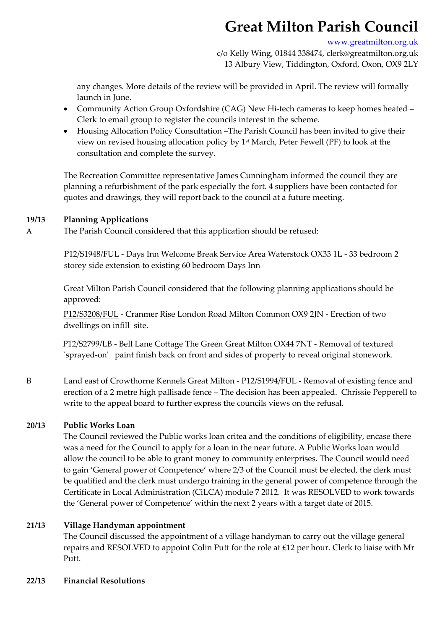# **Great Milton Parish Council**

#### www.greatmilton.org.uk

c/o Kelly Wing, 01844 338474, clerk@greatmilton.org.uk 13 Albury View, Tiddington, Oxford, Oxon, OX9 2LY

any changes. More details of the review will be provided in April. The review will formally launch in June.

- Community Action Group Oxfordshire (CAG) New Hi‐tech cameras to keep homes heated Clerk to email group to register the councils interest in the scheme.
- Housing Allocation Policy Consultation –The Parish Council has been invited to give their view on revised housing allocation policy by 1st March, Peter Fewell (PF) to look at the consultation and complete the survey.

The Recreation Committee representative James Cunningham informed the council they are planning a refurbishment of the park especially the fort. 4 suppliers have been contacted for quotes and drawings, they will report back to the council at a future meeting.

### **19/13 Planning Applications**

A The Parish Council considered that this application should be refused:

P12/S1948/FUL ‐ Days Inn Welcome Break Service Area Waterstock OX33 1L ‐ 33 bedroom 2 storey side extension to existing 60 bedroom Days Inn

Great Milton Parish Council considered that the following planning applications should be approved:

P12/S3208/FUL ‐ Cranmer Rise London Road Milton Common OX9 2JN ‐ Erection of two dwellings on infill site.

P12/S2799/LB ‐ Bell Lane Cottage The Green Great Milton OX44 7NT ‐ Removal of textured `sprayed-on' paint finish back on front and sides of property to reveal original stonework.

B Land east of Crowthorne Kennels Great Milton - P12/S1994/FUL - Removal of existing fence and erection of a 2 metre high pallisade fence – The decision has been appealed. Chrissie Pepperell to write to the appeal board to further express the councils views on the refusal.

# **20/13 Public Works Loan**

The Council reviewed the Public works loan critea and the conditions of eligibility, encase there was a need for the Council to apply for a loan in the near future. A Public Works loan would allow the council to be able to grant money to community enterprises. The Council would need to gain 'General power of Competence' where 2/3 of the Council must be elected, the clerk must be qualified and the clerk must undergo training in the general power of competence through the Certificate in Local Administration (CiLCA) module 7 2012. It was RESOLVED to work towards the 'General power of Competence' within the next 2 years with a target date of 2015.

# **21/13 Village Handyman appointment**

The Council discussed the appointment of a village handyman to carry out the village general repairs and RESOLVED to appoint Colin Putt for the role at £12 per hour. Clerk to liaise with Mr Putt.

**22/13 Financial Resolutions**